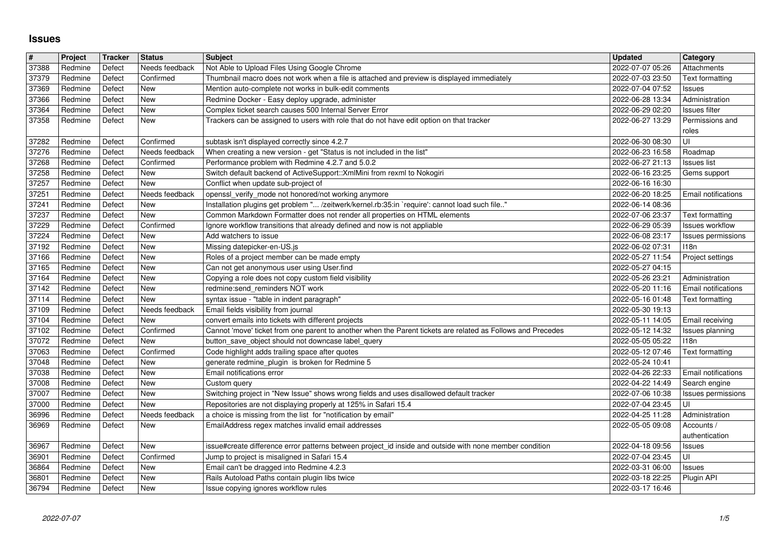## **Issues**

| #              | Project            | Tracker          | <b>Status</b>                | Subject                                                                                                                                                    | <b>Updated</b>                       | Category                           |
|----------------|--------------------|------------------|------------------------------|------------------------------------------------------------------------------------------------------------------------------------------------------------|--------------------------------------|------------------------------------|
| 37388          | Redmine            | Defect           | Needs feedback<br>Confirmed  | Not Able to Upload Files Using Google Chrome                                                                                                               | 2022-07-07 05:26                     | Attachments                        |
| 37379<br>37369 | Redmine<br>Redmine | Defect<br>Defect | <b>New</b>                   | Thumbnail macro does not work when a file is attached and preview is displayed immediately<br>Mention auto-complete not works in bulk-edit comments        | 2022-07-03 23:50<br>2022-07-04 07:52 | Text formatting<br>Issues          |
| 37366          | Redmine            | Defect           | <b>New</b>                   | Redmine Docker - Easy deploy upgrade, administer                                                                                                           | 2022-06-28 13:34                     | Administration                     |
| 37364          | Redmine            | Defect           | <b>New</b>                   | Complex ticket search causes 500 Internal Server Error                                                                                                     | 2022-06-29 02:20                     | <b>Issues filter</b>               |
| 37358          | Redmine            | Defect           | New                          | Trackers can be assigned to users with role that do not have edit option on that tracker                                                                   | 2022-06-27 13:29                     | Permissions and                    |
| 37282          | Redmine            | Defect           | Confirmed                    | subtask isn't displayed correctly since 4.2.7                                                                                                              | 2022-06-30 08:30                     | roles<br>UI                        |
| 37276          | Redmine            | Defect           | Needs feedback               | When creating a new version - get "Status is not included in the list"                                                                                     | 2022-06-23 16:58                     | Roadmap                            |
| 37268          | Redmine            | Defect           | Confirmed                    | Performance problem with Redmine 4.2.7 and 5.0.2                                                                                                           | 2022-06-27 21:13                     | Issues list                        |
| 37258          | Redmine<br>Redmine | Defect<br>Defect | New<br><b>New</b>            | Switch default backend of ActiveSupport:: XmlMini from rexml to Nokogiri                                                                                   | 2022-06-16 23:25                     | Gems support                       |
| 37257<br>37251 | Redmine            | Defect           | Needs feedback               | Conflict when update sub-project of<br>openssl_verify_mode not honored/not working anymore                                                                 | 2022-06-16 16:30<br>2022-06-20 18:25 | Email notifications                |
| 37241          | Redmine            | Defect           | New                          | Installation plugins get problem " /zeitwerk/kernel.rb:35:in `require': cannot load such file"                                                             | 2022-06-14 08:36                     |                                    |
| 37237          | Redmine            | Defect<br>Defect | New<br>Confirmed             | Common Markdown Formatter does not render all properties on HTML elements                                                                                  | 2022-07-06 23:37                     | Text formatting<br>Issues workflow |
| 37229<br>37224 | Redmine<br>Redmine | Defect           | <b>New</b>                   | Ignore workflow transitions that already defined and now is not appliable<br>Add watchers to issue                                                         | 2022-06-29 05:39<br>2022-06-08 23:17 | Issues permissions                 |
| 37192          | Redmine            | Defect           | New                          | Missing datepicker-en-US.js                                                                                                                                | 2022-06-02 07:31                     | 118n                               |
| 37166          | Redmine            | Defect           | New                          | Roles of a project member can be made empty                                                                                                                | 2022-05-27 11:54                     | Project settings                   |
| 37165<br>37164 | Redmine<br>Redmine | Defect<br>Defect | New<br><b>New</b>            | Can not get anonymous user using User.find<br>Copying a role does not copy custom field visibility                                                         | 2022-05-27 04:15<br>2022-05-26 23:21 | Administration                     |
| 37142          | Redmine            | Defect           | <b>New</b>                   | redmine:send_reminders NOT work                                                                                                                            | 2022-05-20 11:16                     | Email notifications                |
| 37114          | Redmine            | Defect           | <b>New</b>                   | syntax issue - "table in indent paragraph"                                                                                                                 | 2022-05-16 01:48                     | Text formatting                    |
| 37109<br>37104 | Redmine<br>Redmine | Defect<br>Defect | Needs feedback<br><b>New</b> | Email fields visibility from journal<br>convert emails into tickets with different projects                                                                | 2022-05-30 19:13<br>2022-05-11 14:05 | Email receiving                    |
| 37102          | Redmine            | Defect           | Confirmed                    | Cannot 'move' ticket from one parent to another when the Parent tickets are related as Follows and Precedes                                                | 2022-05-12 14:32                     | Issues planning                    |
| 37072          | Redmine            | Defect           | New                          | button_save_object should not downcase label_query                                                                                                         | 2022-05-05 05:22                     | 118n                               |
| 37063<br>37048 | Redmine<br>Redmine | Defect<br>Defect | Confirmed<br>New             | Code highlight adds trailing space after quotes<br>generate redmine_plugin is broken for Redmine 5                                                         | 2022-05-12 07:46<br>2022-05-24 10:41 | Text formatting                    |
| 37038          | Redmine            | Defect           | <b>New</b>                   | Email notifications error                                                                                                                                  | 2022-04-26 22:33                     | Email notifications                |
| 37008          | Redmine            | Defect           | <b>New</b>                   | Custom query                                                                                                                                               | 2022-04-22 14:49                     | Search engine                      |
| 37007<br>37000 | Redmine<br>Redmine | Defect<br>Defect | New<br>New                   | Switching project in "New Issue" shows wrong fields and uses disallowed default tracker<br>Repositories are not displaying properly at 125% in Safari 15.4 | 2022-07-06 10:38<br>2022-07-04 23:45 | Issues permissions<br>UI           |
| 36996          | Redmine            | Defect           | Needs feedback               | a choice is missing from the list for "notification by email"                                                                                              | 2022-04-25 11:28                     | Administration                     |
| 36969          | Redmine            | Defect           | New                          | EmailAddress regex matches invalid email addresses                                                                                                         | 2022-05-05 09:08                     | Accounts /                         |
| 36967          | Redmine            | Defect           | New                          | issue#create difference error patterns between project_id inside and outside with none member condition                                                    | 2022-04-18 09:56                     | authentication<br><b>Issues</b>    |
| 36901          | Redmine            | Defect           | Confirmed                    | Jump to project is misaligned in Safari 15.4                                                                                                               | 2022-07-04 23:45                     | UI                                 |
| 36864          | Redmine            | Defect           | New                          | Email can't be dragged into Redmine 4.2.3                                                                                                                  | 2022-03-31 06:00                     | Issues                             |
| 36801<br>36794 | Redmine<br>Redmine | Defect<br>Defect | New<br>New                   | Rails Autoload Paths contain plugin libs twice<br>Issue copying ignores workflow rules                                                                     | 2022-03-18 22:25<br>2022-03-17 16:46 | Plugin API                         |
|                |                    |                  |                              |                                                                                                                                                            |                                      |                                    |
|                |                    |                  |                              |                                                                                                                                                            |                                      |                                    |
|                |                    |                  |                              |                                                                                                                                                            |                                      |                                    |
|                |                    |                  |                              |                                                                                                                                                            |                                      |                                    |
|                |                    |                  |                              |                                                                                                                                                            |                                      |                                    |
|                |                    |                  |                              |                                                                                                                                                            |                                      |                                    |
|                |                    |                  |                              |                                                                                                                                                            |                                      |                                    |
|                |                    |                  |                              |                                                                                                                                                            |                                      |                                    |
|                |                    |                  |                              |                                                                                                                                                            |                                      |                                    |
|                |                    |                  |                              |                                                                                                                                                            |                                      |                                    |
|                |                    |                  |                              |                                                                                                                                                            |                                      |                                    |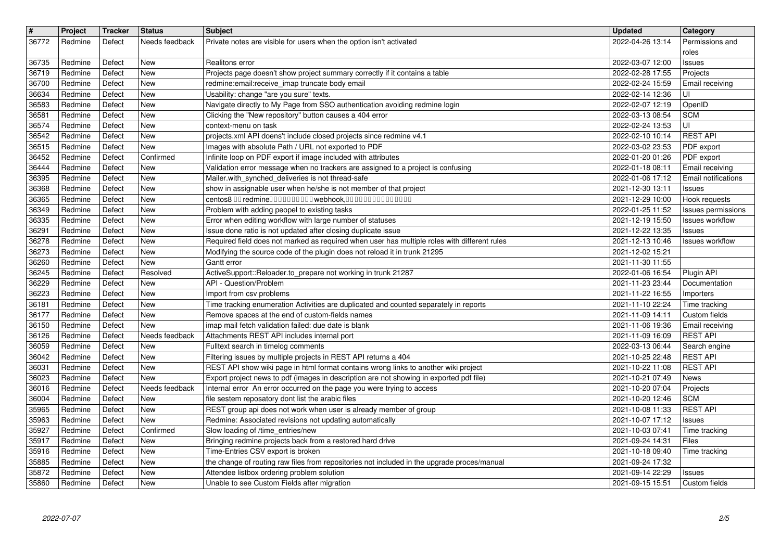| $\vert$ #      | Project            | <b>Tracker</b>   | <b>Status</b>                | <b>Subject</b>                                                                                                                                                                 | <b>Updated</b>                       | Category                                     |
|----------------|--------------------|------------------|------------------------------|--------------------------------------------------------------------------------------------------------------------------------------------------------------------------------|--------------------------------------|----------------------------------------------|
| 36772          | Redmine            | Defect           | Needs feedback               | Private notes are visible for users when the option isn't activated                                                                                                            | 2022-04-26 13:14                     | Permissions and<br>roles                     |
| 36735          | Redmine            | Defect           | <b>New</b>                   | Realitons error                                                                                                                                                                | 2022-03-07 12:00                     | Issues                                       |
| 36719<br>36700 | Redmine<br>Redmine | Defect<br>Defect | New<br>New                   | Projects page doesn't show project summary correctly if it contains a table<br>redmine: email: receive_imap truncate body email                                                | 2022-02-28 17:55<br>2022-02-24 15:59 | Projects<br>Email receiving                  |
| 36634          | Redmine            | Defect           | <b>New</b>                   | Usability: change "are you sure" texts.                                                                                                                                        | 2022-02-14 12:36                     | UI                                           |
| 36583<br>36581 | Redmine<br>Redmine | Defect<br>Defect | New<br>New                   | Navigate directly to My Page from SSO authentication avoiding redmine login<br>Clicking the "New repository" button causes a 404 error                                         | 2022-02-07 12:19<br>2022-03-13 08:54 | OpenID<br><b>SCM</b>                         |
| 36574          | Redmine            | Defect           | New                          | context-menu on task                                                                                                                                                           | 2022-02-24 13:53                     | UI                                           |
| 36542<br>36515 | Redmine<br>Redmine | Defect<br>Defect | <b>New</b><br><b>New</b>     | projects.xml API doens't include closed projects since redmine v4.1<br>Images with absolute Path / URL not exported to PDF                                                     | 2022-02-10 10:14<br>2022-03-02 23:53 | <b>REST API</b><br>PDF export                |
| 36452          | Redmine            | Defect           | Confirmed                    | Infinite loop on PDF export if image included with attributes                                                                                                                  | 2022-01-20 01:26                     | PDF export                                   |
| 36444          | Redmine            | Defect           | New<br><b>New</b>            | Validation error message when no trackers are assigned to a project is confusing<br>Mailer.with_synched_deliveries is not thread-safe                                          | 2022-01-18 08:11                     | Email receiving<br>Email notifications       |
| 36395<br>36368 | Redmine<br>Redmine | Defect<br>Defect | <b>New</b>                   | show in assignable user when he/she is not member of that project                                                                                                              | 2022-01-06 17:12<br>2021-12-30 13:11 | <b>Issues</b>                                |
| 36365          | Redmine            | Defect           | New                          | centos8 00 redmine0000000000 webhook,000000000000000                                                                                                                           | 2021-12-29 10:00                     | Hook requests                                |
| 36349<br>36335 | Redmine<br>Redmine | Defect<br>Defect | New<br><b>New</b>            | Problem with adding peopel to existing tasks<br>Error when editing workflow with large number of statuses                                                                      | 2022-01-25 11:52<br>2021-12-19 15:50 | Issues permissions<br><b>Issues workflow</b> |
| 36291          | Redmine            | Defect           | <b>New</b>                   | Issue done ratio is not updated after closing duplicate issue                                                                                                                  | 2021-12-22 13:35                     | <b>Issues</b>                                |
| 36278<br>36273 | Redmine<br>Redmine | Defect<br>Defect | <b>New</b><br><b>New</b>     | Required field does not marked as required when user has multiple roles with different rules<br>Modifying the source code of the plugin does not reload it in trunk 21295      | 2021-12-13 10:46<br>2021-12-02 15:21 | <b>Issues workflow</b>                       |
| 36260          | Redmine            | Defect           | <b>New</b>                   | Gantt error                                                                                                                                                                    | 2021-11-30 11:55                     |                                              |
| 36245<br>36229 | Redmine<br>Redmine | Defect<br>Defect | Resolved<br><b>New</b>       | ActiveSupport::Reloader.to_prepare not working in trunk 21287<br>API - Question/Problem                                                                                        | 2022-01-06 16:54<br>2021-11-23 23:44 | Plugin API<br>Documentation                  |
| 36223          | Redmine            | Defect           | New                          | Import from csv problems                                                                                                                                                       | 2021-11-22 16:55                     | Importers                                    |
| 36181<br>36177 | Redmine<br>Redmine | Defect<br>Defect | New<br>New                   | Time tracking enumeration Activities are duplicated and counted separately in reports<br>Remove spaces at the end of custom-fields names                                       | 2021-11-10 22:24<br>2021-11-09 14:11 | Time tracking<br>Custom fields               |
| 36150          | Redmine            | Defect           | <b>New</b>                   | imap mail fetch validation failed: due date is blank                                                                                                                           | 2021-11-06 19:36                     | Email receiving                              |
| 36126<br>36059 | Redmine<br>Redmine | Defect<br>Defect | Needs feedback<br><b>New</b> | Attachments REST API includes internal port<br>Fulltext search in timelog comments                                                                                             | 2021-11-09 16:09<br>2022-03-13 06:44 | <b>REST API</b><br>Search engine             |
| 36042          | Redmine            | Defect           | <b>New</b>                   | Filtering issues by multiple projects in REST API returns a 404                                                                                                                | 2021-10-25 22:48                     | <b>REST API</b>                              |
| 36031<br>36023 | Redmine<br>Redmine | Defect<br>Defect | <b>New</b><br>New            | REST API show wiki page in html format contains wrong links to another wiki project<br>Export project news to pdf (images in description are not showing in exported pdf file) | 2021-10-22 11:08<br>2021-10-21 07:49 | <b>REST API</b><br>News                      |
| 36016          | Redmine            | Defect           | Needs feedback               | Internal error An error occurred on the page you were trying to access                                                                                                         | 2021-10-20 07:04                     | Projects                                     |
| 36004          | Redmine            | Defect           | New                          | file sestem reposatory dont list the arabic files                                                                                                                              | 2021-10-20 12:46                     | <b>SCM</b>                                   |
| 35965<br>35963 | Redmine<br>Redmine | Defect<br>Defect | <b>New</b><br><b>New</b>     | REST group api does not work when user is already member of group<br>Redmine: Associated revisions not updating automatically                                                  | 2021-10-08 11:33<br>2021-10-07 17:12 | <b>REST API</b><br>Issues                    |
| 35927          | Redmine            | Defect           | Confirmed                    | Slow loading of /time_entries/new                                                                                                                                              | 2021-10-03 07:41                     | Time tracking                                |
| 35917<br>35916 | Redmine<br>Redmine | Defect<br>Defect | New<br><b>New</b>            | Bringing redmine projects back from a restored hard drive<br>Time-Entries CSV export is broken                                                                                 | 2021-09-24 14:31<br>2021-10-18 09:40 | Files<br>Time tracking                       |
| 35885          | Redmine            | Defect           | New                          | the change of routing raw files from repositories not included in the upgrade proces/manual                                                                                    | 2021-09-24 17:32                     |                                              |
| 35872<br>35860 | Redmine<br>Redmine | Defect<br>Defect | New<br>New                   | Attendee listbox ordering problem solution<br>Unable to see Custom Fields after migration                                                                                      | 2021-09-14 22:29<br>2021-09-15 15:51 | Issues<br>Custom fields                      |
|                |                    |                  |                              |                                                                                                                                                                                |                                      |                                              |
|                |                    |                  |                              |                                                                                                                                                                                |                                      |                                              |
|                |                    |                  |                              |                                                                                                                                                                                |                                      |                                              |
|                |                    |                  |                              |                                                                                                                                                                                |                                      |                                              |
|                |                    |                  |                              |                                                                                                                                                                                |                                      |                                              |
|                |                    |                  |                              |                                                                                                                                                                                |                                      |                                              |
|                |                    |                  |                              |                                                                                                                                                                                |                                      |                                              |
|                |                    |                  |                              |                                                                                                                                                                                |                                      |                                              |
|                |                    |                  |                              |                                                                                                                                                                                |                                      |                                              |
|                |                    |                  |                              |                                                                                                                                                                                |                                      |                                              |
|                |                    |                  |                              |                                                                                                                                                                                |                                      |                                              |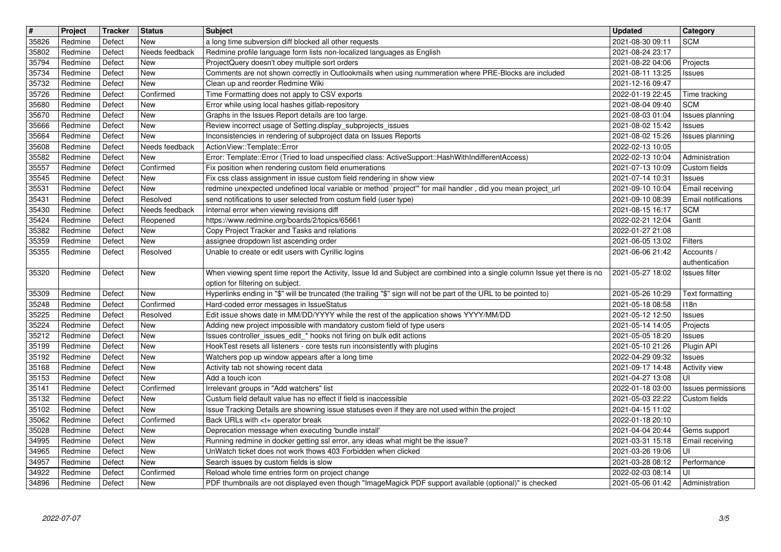| $\overline{\mathbf{t}}$ | Project            | Tracker          | <b>Status</b>              | <b>Subject</b>                                                                                                                                                                      | <b>Updated</b>                       | <b>Category</b>                  |
|-------------------------|--------------------|------------------|----------------------------|-------------------------------------------------------------------------------------------------------------------------------------------------------------------------------------|--------------------------------------|----------------------------------|
| 35826<br>35802          | Redmine<br>Redmine | Defect<br>Defect | New<br>Needs feedback      | a long time subversion diff blocked all other requests<br>Redmine profile language form lists non-localized languages as English                                                    | 2021-08-30 09:11<br>2021-08-24 23:17 | <b>SCM</b>                       |
| 35794                   | Redmine            | Defect           | New                        | ProjectQuery doesn't obey multiple sort orders                                                                                                                                      | 2021-08-22 04:06                     | Projects                         |
| 35734<br>35732          | Redmine<br>Redmine | Defect<br>Defect | New<br>New                 | Comments are not shown correctly in Outlookmails when using nummeration where PRE-Blocks are included<br>Clean up and reorder Redmine Wiki                                          | 2021-08-11 13:25<br>2021-12-16 09:47 | Issues                           |
| 35726                   | Redmine            | Defect           | Confirmed                  | Time Formatting does not apply to CSV exports                                                                                                                                       | 2022-01-19 22:45                     | Time tracking                    |
| 35680<br>35670          | Redmine<br>Redmine | Defect<br>Defect | New<br>New                 | Error while using local hashes gitlab-repository<br>Graphs in the Issues Report details are too large.                                                                              | 2021-08-04 09:40<br>2021-08-03 01:04 | <b>SCM</b><br>Issues planning    |
| 35666                   | Redmine            | Defect           | New                        | Review incorrect usage of Setting.display_subprojects_issues                                                                                                                        | 2021-08-02 15:42                     | Issues                           |
| 35664                   | Redmine            | Defect           | New                        | Inconsistencies in rendering of subproject data on Issues Reports                                                                                                                   | 2021-08-02 15:26                     | Issues planning                  |
| 35608<br>35582          | Redmine<br>Redmine | Defect<br>Defect | Needs feedback<br>New      | ActionView::Template::Error<br>Error: Template::Error (Tried to load unspecified class: ActiveSupport::HashWithIndifferentAccess)                                                   | 2022-02-13 10:05<br>2022-02-13 10:04 | Administration                   |
| 35557                   | Redmine            | Defect           | Confirmed                  | Fix position when rendering custom field enumerations                                                                                                                               | 2021-07-13 10:09                     | Custom fields                    |
| 35545<br>35531          | Redmine<br>Redmine | Defect<br>Defect | New<br>New                 | Fix css class assignment in issue custom field rendering in show view<br>redmine unexpected undefined local variable or method `project" for mail handler, did you mean project_url | 2021-07-14 10:31<br>2021-09-10 10:04 | <b>Issues</b><br>Email receiving |
| 35431                   | Redmine            | Defect           | Resolved                   | send notifications to user selected from costum field (user type)                                                                                                                   | 2021-09-10 08:39                     | <b>Email notifications</b>       |
| 35430<br>35424          | Redmine<br>Redmine | Defect<br>Defect | Needs feedback<br>Reopened | Internal error when viewing revisions diff<br>https://www.redmine.org/boards/2/topics/65661                                                                                         | 2021-08-15 16:17<br>2022-02-21 12:04 | <b>SCM</b><br>Gantt              |
| 35382                   | Redmine            | Defect           | New                        | Copy Project Tracker and Tasks and relations                                                                                                                                        | 2022-01-27 21:08                     |                                  |
| 35359                   | Redmine            | Defect           | New                        | assignee dropdown list ascending order<br>Unable to create or edit users with Cyrillic logins                                                                                       | 2021-06-05 13:02<br>2021-06-06 21:42 | Filters                          |
| 35355                   | Redmine            | Defect           | Resolved                   |                                                                                                                                                                                     |                                      | Accounts /<br>authentication     |
| 35320                   | Redmine            | Defect           | New                        | When viewing spent time report the Activity, Issue Id and Subject are combined into a single column Issue yet there is no                                                           | 2021-05-27 18:02                     | Issues filter                    |
| 35309                   | Redmine            | Defect           | New                        | option for filtering on subject.<br>Hyperlinks ending in "\$" will be truncated (the trailing "\$" sign will not be part of the URL to be pointed to)                               | 2021-05-26 10:29                     | Text formatting                  |
| 35248                   | Redmine            | Defect           | Confirmed                  | Hard-coded error messages in IssueStatus                                                                                                                                            | 2021-05-18 08:58                     | 118n                             |
| 35225                   | Redmine            | Defect           | Resolved                   | Edit issue shows date in MM/DD/YYYY while the rest of the application shows YYYY/MM/DD                                                                                              | 2021-05-12 12:50                     | Issues                           |
| 35224<br>35212          | Redmine<br>Redmine | Defect<br>Defect | New<br>New                 | Adding new project impossible with mandatory custom field of type users<br>Issues controller_issues_edit_* hooks not firing on bulk edit actions                                    | 2021-05-14 14:05<br>2021-05-05 18:20 | Projects<br>Issues               |
| 35199                   | Redmine            | Defect           | New                        | HookTest resets all listeners - core tests run inconsistently with plugins                                                                                                          | 2021-05-10 21:26                     | Plugin API                       |
| 35192<br>35168          | Redmine<br>Redmine | Defect<br>Defect | New<br>New                 | Watchers pop up window appears after a long time<br>Activity tab not showing recent data                                                                                            | 2022-04-29 09:32<br>2021-09-17 14:48 | Issues<br><b>Activity view</b>   |
| 35153                   | Redmine            | Defect           | New                        | Add a touch icon                                                                                                                                                                    | 2021-04-27 13:08                     | UI                               |
| 35141                   | Redmine            | Defect           | Confirmed                  | Irrelevant groups in "Add watchers" list                                                                                                                                            | 2022-01-18 03:00                     | Issues permissions               |
| 35132<br>35102          | Redmine<br>Redmine | Defect<br>Defect | New<br>New                 | Custum field default value has no effect if field is inaccessible<br>Issue Tracking Details are showning issue statuses even if they are not used within the project                | 2021-05-03 22:22<br>2021-04-15 11:02 | Custom fields                    |
| 35062                   | Redmine            | Defect           | Confirmed                  | Back URLs with <t+ break<="" operator="" td=""><td>2022-01-18 20:10</td><td></td></t+>                                                                                              | 2022-01-18 20:10                     |                                  |
| 35028                   | Redmine            | Defect           | New                        | Deprecation message when executing 'bundle install'                                                                                                                                 | 2021-04-04 20:44                     | Gems support                     |
| 34995<br>34965          | Redmine<br>Redmine | Defect<br>Defect | New<br>New                 | Running redmine in docker getting ssl error, any ideas what might be the issue?<br>UnWatch ticket does not work thows 403 Forbidden when clicked                                    | 2021-03-31 15:18<br>2021-03-26 19:06 | Email receiving<br>UI            |
| 34957                   | Redmine            | Defect           | New                        | Search issues by custom fields is slow                                                                                                                                              | 2021-03-28 08:12                     | Performance                      |
| 34922<br>34896          | Redmine<br>Redmine | Defect<br>Defect | Confirmed<br>New           | Reload whole time entries form on project change<br>PDF thumbnails are not displayed even though "ImageMagick PDF support available (optional)" is checked                          | 2022-02-03 08:14<br>2021-05-06 01:42 | UI<br>Administration             |
|                         |                    |                  |                            |                                                                                                                                                                                     |                                      |                                  |
|                         |                    |                  |                            |                                                                                                                                                                                     |                                      |                                  |
|                         |                    |                  |                            |                                                                                                                                                                                     |                                      |                                  |
|                         |                    |                  |                            |                                                                                                                                                                                     |                                      |                                  |
|                         |                    |                  |                            |                                                                                                                                                                                     |                                      |                                  |
|                         |                    |                  |                            |                                                                                                                                                                                     |                                      |                                  |
|                         |                    |                  |                            |                                                                                                                                                                                     |                                      |                                  |
|                         |                    |                  |                            |                                                                                                                                                                                     |                                      |                                  |
|                         |                    |                  |                            |                                                                                                                                                                                     |                                      |                                  |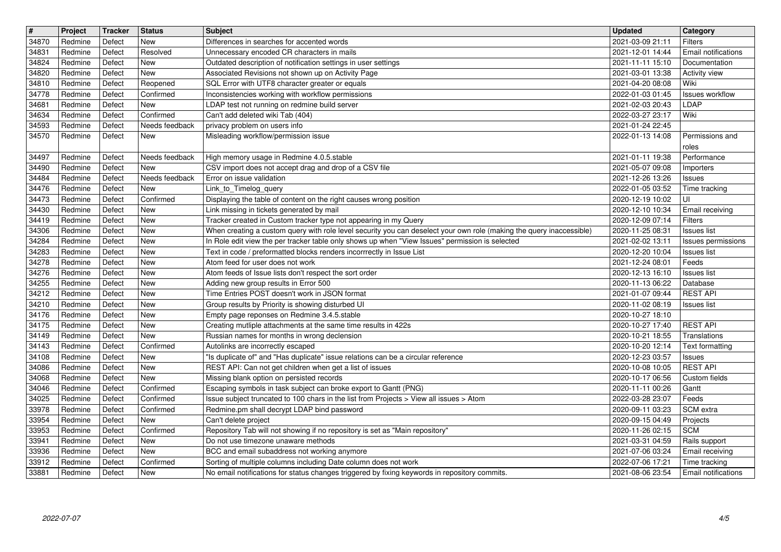| $\overline{\boldsymbol{H}}$ | Project | Tracker | <b>Status</b>  | <b>Subject</b>                                                                                                       | <b>Updated</b>   | Category                   |
|-----------------------------|---------|---------|----------------|----------------------------------------------------------------------------------------------------------------------|------------------|----------------------------|
| 34870                       | Redmine | Defect  | New            | Differences in searches for accented words                                                                           | 2021-03-09 21:11 | <b>Filters</b>             |
| 34831                       | Redmine | Defect  | Resolved       | Unnecessary encoded CR characters in mails                                                                           | 2021-12-01 14:44 | Email notifications        |
| 34824                       | Redmine | Defect  | <b>New</b>     | Outdated description of notification settings in user settings                                                       | 2021-11-11 15:10 | Documentation              |
| 34820                       | Redmine | Defect  | New            | Associated Revisions not shown up on Activity Page                                                                   | 2021-03-01 13:38 | <b>Activity view</b>       |
| 34810                       | Redmine | Defect  | Reopened       | SQL Error with UTF8 character greater or equals                                                                      | 2021-04-20 08:08 | Wiki                       |
| 34778                       | Redmine | Defect  | Confirmed      | Inconsistencies working with workflow permissions                                                                    | 2022-01-03 01:45 | <b>Issues workflow</b>     |
| 34681                       | Redmine | Defect  | New            | LDAP test not running on redmine build server                                                                        | 2021-02-03 20:43 | LDAP                       |
| 34634                       | Redmine | Defect  | Confirmed      | Can't add deleted wiki Tab (404)                                                                                     | 2022-03-27 23:17 | Wiki                       |
| 34593                       | Redmine | Defect  | Needs feedback | privacy problem on users info                                                                                        | 2021-01-24 22:45 | Permissions and            |
| 34570                       | Redmine | Defect  | New            | Misleading workflow/permission issue                                                                                 | 2022-01-13 14:08 | roles                      |
| 34497                       | Redmine | Defect  | Needs feedback | High memory usage in Redmine 4.0.5.stable                                                                            | 2021-01-11 19:38 | Performance                |
| 34490                       | Redmine | Defect  | New            | CSV import does not accept drag and drop of a CSV file                                                               | 2021-05-07 09:08 | Importers                  |
| 34484                       | Redmine | Defect  | Needs feedback | Error on issue validation                                                                                            | 2021-12-26 13:26 | <b>Issues</b>              |
| 34476                       | Redmine | Defect  | New            | Link_to_Timelog_query                                                                                                | 2022-01-05 03:52 | Time tracking              |
| 34473                       | Redmine | Defect  | Confirmed      | Displaying the table of content on the right causes wrong position                                                   | 2020-12-19 10:02 | UI                         |
| 34430                       | Redmine | Defect  | New            | Link missing in tickets generated by mail                                                                            | 2020-12-10 10:34 | Email receiving            |
| 34419                       | Redmine | Defect  | New            | Tracker created in Custom tracker type not appearing in my Query                                                     | 2020-12-09 07:14 | <b>Filters</b>             |
| 34306                       | Redmine | Defect  | New            | When creating a custom query with role level security you can deselect your own role (making the query inaccessible) | 2020-11-25 08:31 | <b>Issues list</b>         |
| 34284                       | Redmine | Defect  | New            | In Role edit view the per tracker table only shows up when "View Issues" permission is selected                      | 2021-02-02 13:11 | Issues permissions         |
| 34283                       | Redmine | Defect  | New            | Text in code / preformatted blocks renders incorrrectly in Issue List                                                | 2020-12-20 10:04 | <b>Issues list</b>         |
| 34278                       | Redmine | Defect  | New            | Atom feed for user does not work                                                                                     | 2021-12-24 08:01 | Feeds                      |
| 34276                       | Redmine | Defect  | New            | Atom feeds of Issue lists don't respect the sort order                                                               | 2020-12-13 16:10 | <b>Issues list</b>         |
| 34255                       | Redmine | Defect  | New            | Adding new group results in Error 500                                                                                | 2020-11-13 06:22 | Database                   |
| 34212                       | Redmine | Defect  | New            | Time Entries POST doesn't work in JSON format                                                                        | 2021-01-07 09:44 | <b>REST API</b>            |
| 34210                       | Redmine | Defect  | New            | Group results by Priority is showing disturbed UI                                                                    | 2020-11-02 08:19 | <b>Issues list</b>         |
| 34176                       | Redmine | Defect  | New            | Empty page reponses on Redmine 3.4.5.stable                                                                          | 2020-10-27 18:10 |                            |
| 34175                       | Redmine | Defect  | New            | Creating mutliple attachments at the same time results in 422s                                                       | 2020-10-27 17:40 | <b>REST API</b>            |
| 34149                       | Redmine | Defect  | New            | Russian names for months in wrong declension                                                                         | 2020-10-21 18:55 | Translations               |
| 34143                       | Redmine | Defect  | Confirmed      | Autolinks are incorrectly escaped                                                                                    | 2020-10-20 12:14 | Text formatting            |
| 34108                       | Redmine | Defect  | New            | "Is duplicate of" and "Has duplicate" issue relations can be a circular reference                                    | 2020-12-23 03:57 | <b>Issues</b>              |
| 34086                       | Redmine | Defect  | <b>New</b>     | REST API: Can not get children when get a list of issues                                                             | 2020-10-08 10:05 | <b>REST API</b>            |
| 34068                       | Redmine | Defect  | New            | Missing blank option on persisted records                                                                            | 2020-10-17 06:56 | Custom fields              |
| 34046                       | Redmine | Defect  | Confirmed      | Escaping symbols in task subject can broke export to Gantt (PNG)                                                     | 2020-11-11 00:26 | Gantt                      |
| 34025                       | Redmine | Defect  | Confirmed      | Issue subject truncated to 100 chars in the list from Projects > View all issues > Atom                              | 2022-03-28 23:07 | Feeds                      |
| 33978                       | Redmine | Defect  | Confirmed      | Redmine.pm shall decrypt LDAP bind password                                                                          | 2020-09-11 03:23 | SCM extra                  |
| 33954                       | Redmine | Defect  | New            | Can't delete project                                                                                                 | 2020-09-15 04:49 | Projects                   |
| 33953                       | Redmine | Defect  | Confirmed      | Repository Tab will not showing if no repository is set as "Main repository"                                         | 2020-11-26 02:15 | <b>SCM</b>                 |
| 33941                       | Redmine | Defect  | New            | Do not use timezone unaware methods                                                                                  | 2021-03-31 04:59 | Rails support              |
| 33936                       | Redmine | Defect  | New            | BCC and email subaddress not working anymore                                                                         | 2021-07-06 03:24 | Email receiving            |
| 33912                       | Redmine | Defect  | Confirmed      | Sorting of multiple columns including Date column does not work                                                      | 2022-07-06 17:21 | Time tracking              |
| 33881                       | Redmine | Defect  | New            | No email notifications for status changes triggered by fixing keywords in repository commits.                        | 2021-08-06 23:54 | <b>Email notifications</b> |
|                             |         |         |                |                                                                                                                      |                  |                            |
|                             |         |         |                |                                                                                                                      |                  |                            |
|                             |         |         |                |                                                                                                                      |                  |                            |
|                             |         |         |                |                                                                                                                      |                  |                            |